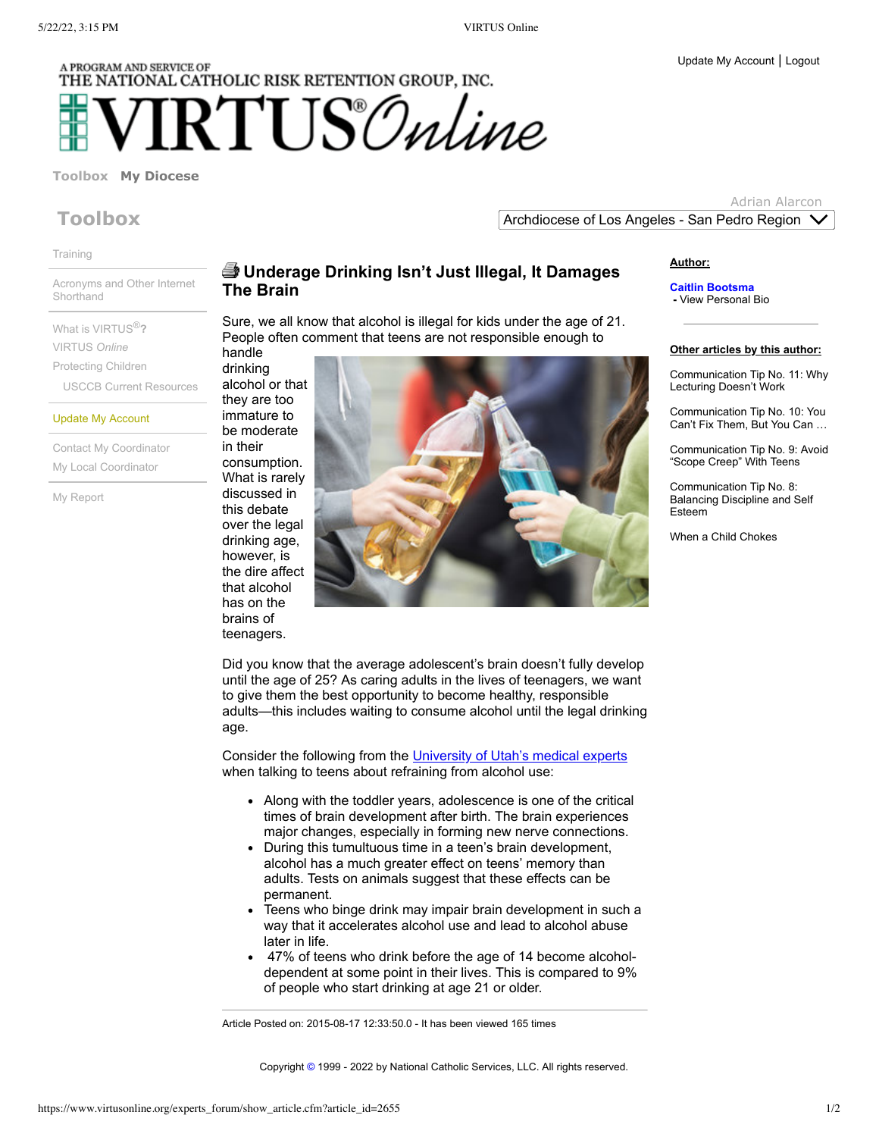# A PROGRAM AND SERVICE OF THE NATIONAL CATHOLIC RISK RETENTION GROUP, INC.  $\text{RTI}$  IS Online

### **[Toolbox](https://www.virtusonline.org/mypage/index.cfm?tab=1) My [Diocese](https://www.virtusonline.org/myorg/index.cfm?tab=2)**

## **Toolbox**

[Training](https://www.virtusonline.org/mypage/live_training_main.cfm)

Acronyms and Other Internet **[Shorthand](https://www.virtusonline.org/mypage/net_acronyms.cfm)** 

What is [VIRTUS](https://www.virtusonline.org/mypage/virtus_description.cfm) ®**?** [VIRTUS](https://www.virtusonline.org/mypage/exploring_virtus.cfm) *Online* [Protecting](https://www.virtusonline.org/mypage/protecting_children.cfm) Children USCCB Current [Resources](http://usccb.org/issues-and-action/child-and-youth-protection/resources/)

#### Update My [Account](https://www.virtusonline.org/mypage/EditMyInformation.cfm)

Contact My [Coordinator](https://www.virtusonline.org/mypage/ContactCoordinator.cfm) My Local [Coordinator](https://www.virtusonline.org/mypage/local_coordinator_list.cfm)

My [Report](https://www.virtusonline.org/mytraining/MyTrainingReport.cfm)

## **Underage Drinking Isn't Just Illegal, It Damages The Brain**

Sure, we all know that alcohol is illegal for kids under the age of 21. People often comment that teens are not responsible enough to handle

drinking alcohol or that they are too immature to be moderate in their consumption. What is rarely discussed in this debate over the legal drinking age, however, is the dire affect that alcohol has on the brains of teenagers.



Did you know that the average adolescent's brain doesn't fully develop until the age of 25? As caring adults in the lives of teenagers, we want to give them the best opportunity to become healthy, responsible adults—this includes waiting to consume alcohol until the legal drinking age.

Consider the following from the [University of Utah's medical experts](http://healthcare.utah.edu/the-scope/shows.php?shows=0_jklqvd0t) when talking to teens about refraining from alcohol use:

- Along with the toddler years, adolescence is one of the critical times of brain development after birth. The brain experiences major changes, especially in forming new nerve connections.
- During this tumultuous time in a teen's brain development, alcohol has a much greater effect on teens' memory than adults. Tests on animals suggest that these effects can be permanent.
- Teens who binge drink may impair brain development in such a way that it accelerates alcohol use and lead to alcohol abuse later in life.
- 47% of teens who drink before the age of 14 become alcoholdependent at some point in their lives. This is compared to 9% of people who start drinking at age 21 or older.

Article Posted on: 2015-08-17 12:33:50.0 - It has been viewed 165 times

**Author:**

**Caitlin Bootsma -** View [Personal](https://www.virtusonline.org/experts_forum/show_expert_bio.cfm?expert_id=226) Bio

#### **Other articles by this author:**

[Communication](https://www.virtusonline.org/experts_forum/show_article.cfm?article_id=2678) Tip No. 11: Why Lecturing Doesn't Work

[Communication](https://www.virtusonline.org/experts_forum/show_article.cfm?article_id=2676) Tip No. 10: You Can't Fix Them, But You Can …

[Communication](https://www.virtusonline.org/experts_forum/show_article.cfm?article_id=2674) Tip No. 9: Avoid "Scope Creep" With Teens

[Communication](https://www.virtusonline.org/experts_forum/show_article.cfm?article_id=2672) Tip No. 8: Balancing Discipline and Self Esteem

When a Child [Chokes](https://www.virtusonline.org/experts_forum/show_article.cfm?article_id=2671)

Copyright [©](https://www.virtusonline.org/debug/index.cfm?clear=1) 1999 - 2022 by National Catholic Services, LLC. All rights reserved.

Adrian Alarcon Archdiocese of Los Angeles - San Pedro Region